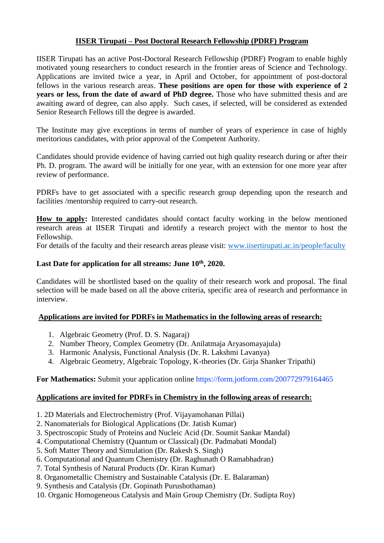# **IISER Tirupati – Post Doctoral Research Fellowship (PDRF) Program**

IISER Tirupati has an active Post-Doctoral Research Fellowship (PDRF) Program to enable highly motivated young researchers to conduct research in the frontier areas of Science and Technology. Applications are invited twice a year, in April and October, for appointment of post-doctoral fellows in the various research areas. **These positions are open for those with experience of 2 years or less, from the date of award of PhD degree.** Those who have submitted thesis and are awaiting award of degree, can also apply. Such cases, if selected, will be considered as extended Senior Research Fellows till the degree is awarded.

The Institute may give exceptions in terms of number of years of experience in case of highly meritorious candidates, with prior approval of the Competent Authority.

Candidates should provide evidence of having carried out high quality research during or after their Ph. D. program. The award will be initially for one year, with an extension for one more year after review of performance.

PDRFs have to get associated with a specific research group depending upon the research and facilities /mentorship required to carry-out research.

**How to apply:** Interested candidates should contact faculty working in the below mentioned research areas at IISER Tirupati and identify a research project with the mentor to host the Fellowship.

For details of the faculty and their research areas please visit: [www.iisertirupati.ac.in/people/faculty](http://www.iisertirupati.ac.in/people/faculty)

## Last Date for application for all streams: June  $10^{th}$ , 2020.

Candidates will be shortlisted based on the quality of their research work and proposal. The final selection will be made based on all the above criteria, specific area of research and performance in interview.

#### **Applications are invited for PDRFs in Mathematics in the following areas of research:**

- 1. Algebraic Geometry (Prof. D. S. Nagaraj)
- 2. Number Theory, Complex Geometry (Dr. Anilatmaja Aryasomayajula)
- 3. Harmonic Analysis, Functional Analysis (Dr. R. Lakshmi Lavanya)
- 4. Algebraic Geometry, Algebraic Topology, K-theories (Dr. Girja Shanker Tripathi)

#### **For Mathematics:** Submit your application online<https://form.jotform.com/200772979164465>

#### **Applications are invited for PDRFs in Chemistry in the following areas of research:**

- 1. 2D Materials and Electrochemistry (Prof. Vijayamohanan Pillai)
- 2. Nanomaterials for Biological Applications (Dr. Jatish Kumar)
- 3. Spectroscopic Study of Proteins and Nucleic Acid (Dr. Soumit Sankar Mandal)
- 4. Computational Chemistry (Quantum or Classical) (Dr. Padmabati Mondal)
- 5. Soft Matter Theory and Simulation (Dr. Rakesh S. Singh)
- 6. Computational and Quantum Chemistry (Dr. Raghunath O Ramabhadran)
- 7. Total Synthesis of Natural Products (Dr. Kiran Kumar)
- 8. Organometallic Chemistry and Sustainable Catalysis (Dr. E. Balaraman)
- 9. Synthesis and Catalysis (Dr. Gopinath Purushothaman)
- 10. Organic Homogeneous Catalysis and Main Group Chemistry (Dr. Sudipta Roy)